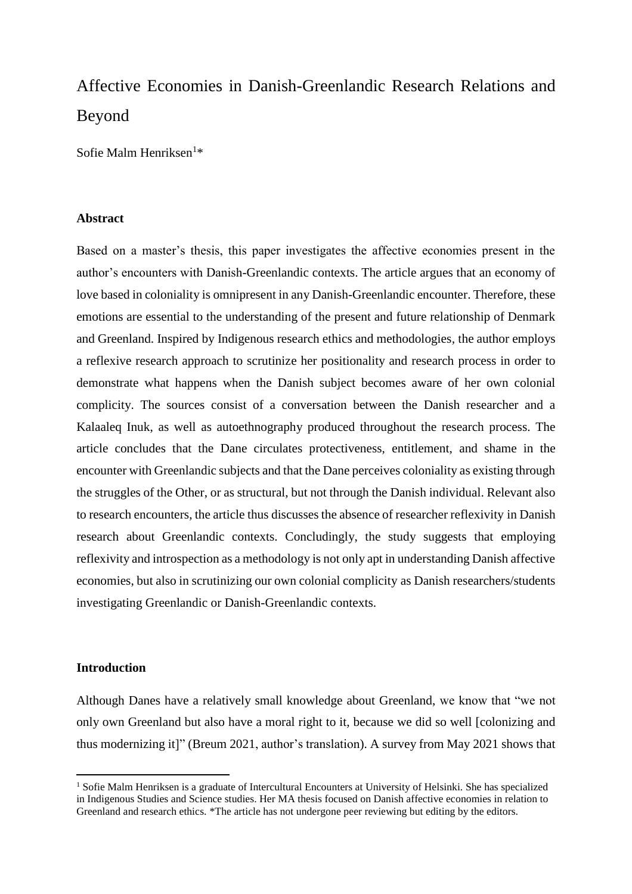# Affective Economies in Danish-Greenlandic Research Relations and Beyond

Sofie Malm Henriksen $^{1\ast}$ 

# **Abstract**

Based on a master's thesis, this paper investigates the affective economies present in the author's encounters with Danish-Greenlandic contexts. The article argues that an economy of love based in coloniality is omnipresent in any Danish-Greenlandic encounter. Therefore, these emotions are essential to the understanding of the present and future relationship of Denmark and Greenland. Inspired by Indigenous research ethics and methodologies*,* the author employs a reflexive research approach to scrutinize her positionality and research process in order to demonstrate what happens when the Danish subject becomes aware of her own colonial complicity. The sources consist of a conversation between the Danish researcher and a Kalaaleq Inuk, as well as autoethnography produced throughout the research process. The article concludes that the Dane circulates protectiveness, entitlement, and shame in the encounter with Greenlandic subjects and that the Dane perceives coloniality as existing through the struggles of the Other, or as structural, but not through the Danish individual. Relevant also to research encounters, the article thus discusses the absence of researcher reflexivity in Danish research about Greenlandic contexts. Concludingly, the study suggests that employing reflexivity and introspection as a methodology is not only apt in understanding Danish affective economies, but also in scrutinizing our own colonial complicity as Danish researchers/students investigating Greenlandic or Danish-Greenlandic contexts.

# **Introduction**

 $\overline{a}$ 

Although Danes have a relatively small knowledge about Greenland, we know that "we not only own Greenland but also have a moral right to it, because we did so well [colonizing and thus modernizing it]" (Breum 2021, author's translation). A survey from May 2021 shows that

<sup>&</sup>lt;sup>1</sup> Sofie Malm Henriksen is a graduate of Intercultural Encounters at University of Helsinki. She has specialized in Indigenous Studies and Science studies. Her MA thesis focused on Danish affective economies in relation to Greenland and research ethics. \*The article has not undergone peer reviewing but editing by the editors.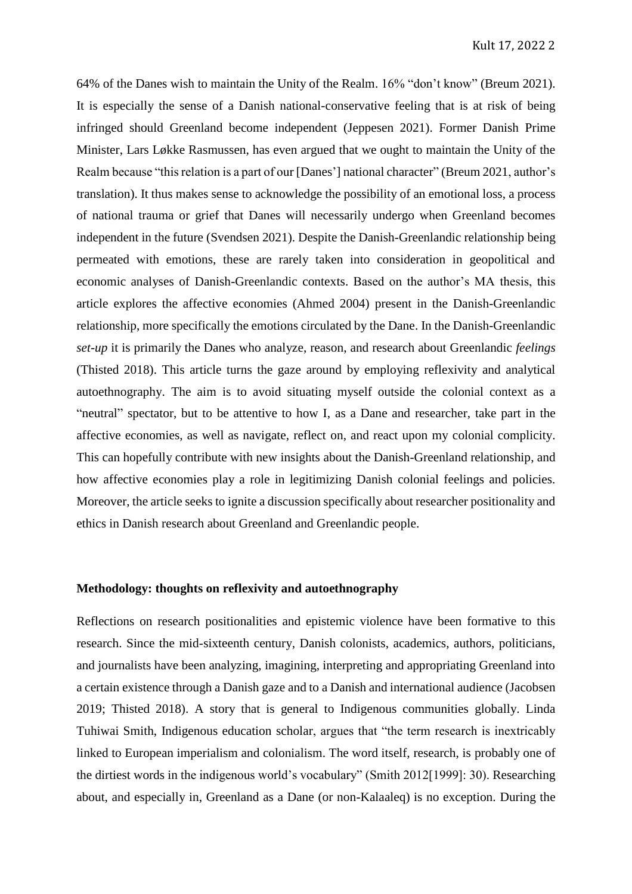64% of the Danes wish to maintain the Unity of the Realm. 16% "don't know" (Breum 2021). It is especially the sense of a Danish national-conservative feeling that is at risk of being infringed should Greenland become independent (Jeppesen 2021). Former Danish Prime Minister, Lars Løkke Rasmussen, has even argued that we ought to maintain the Unity of the Realm because "this relation is a part of our [Danes'] national character" (Breum 2021, author's translation). It thus makes sense to acknowledge the possibility of an emotional loss, a process of national trauma or grief that Danes will necessarily undergo when Greenland becomes independent in the future (Svendsen 2021). Despite the Danish-Greenlandic relationship being permeated with emotions, these are rarely taken into consideration in geopolitical and economic analyses of Danish-Greenlandic contexts. Based on the author's MA thesis, this article explores the affective economies (Ahmed 2004) present in the Danish-Greenlandic relationship, more specifically the emotions circulated by the Dane. In the Danish-Greenlandic *set-up* it is primarily the Danes who analyze, reason, and research about Greenlandic *feelings* (Thisted 2018). This article turns the gaze around by employing reflexivity and analytical autoethnography. The aim is to avoid situating myself outside the colonial context as a "neutral" spectator, but to be attentive to how I, as a Dane and researcher, take part in the affective economies, as well as navigate, reflect on, and react upon my colonial complicity. This can hopefully contribute with new insights about the Danish-Greenland relationship, and how affective economies play a role in legitimizing Danish colonial feelings and policies. Moreover, the article seeks to ignite a discussion specifically about researcher positionality and ethics in Danish research about Greenland and Greenlandic people.

# **Methodology: thoughts on reflexivity and autoethnography**

Reflections on research positionalities and epistemic violence have been formative to this research. Since the mid-sixteenth century, Danish colonists, academics, authors, politicians, and journalists have been analyzing, imagining, interpreting and appropriating Greenland into a certain existence through a Danish gaze and to a Danish and international audience (Jacobsen 2019; Thisted 2018). A story that is general to Indigenous communities globally. Linda Tuhiwai Smith, Indigenous education scholar, argues that "the term research is inextricably linked to European imperialism and colonialism. The word itself, research, is probably one of the dirtiest words in the indigenous world's vocabulary" (Smith 2012[1999]: 30). Researching about, and especially in, Greenland as a Dane (or non-Kalaaleq) is no exception. During the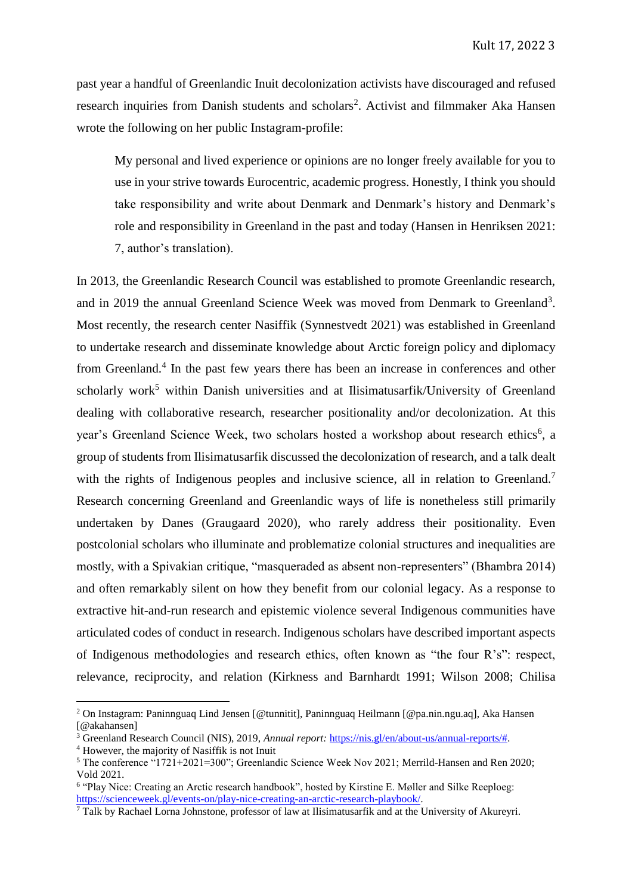past year a handful of Greenlandic Inuit decolonization activists have discouraged and refused research inquiries from Danish students and scholars<sup>2</sup>. Activist and filmmaker Aka Hansen wrote the following on her public Instagram-profile:

My personal and lived experience or opinions are no longer freely available for you to use in your strive towards Eurocentric, academic progress. Honestly, I think you should take responsibility and write about Denmark and Denmark's history and Denmark's role and responsibility in Greenland in the past and today (Hansen in Henriksen 2021: 7, author's translation).

In 2013, the Greenlandic Research Council was established to promote Greenlandic research, and in 2019 the annual Greenland Science Week was moved from Denmark to Greenland<sup>3</sup>. Most recently, the research center Nasiffik (Synnestvedt 2021) was established in Greenland to undertake research and disseminate knowledge about Arctic foreign policy and diplomacy from Greenland. 4 In the past few years there has been an increase in conferences and other scholarly work<sup>5</sup> within Danish universities and at Ilisimatusarfik/University of Greenland dealing with collaborative research, researcher positionality and/or decolonization. At this year's Greenland Science Week, two scholars hosted a workshop about research ethics<sup>6</sup>, a group of students from Ilisimatusarfik discussed the decolonization of research, and a talk dealt with the rights of Indigenous peoples and inclusive science, all in relation to Greenland.<sup>7</sup> Research concerning Greenland and Greenlandic ways of life is nonetheless still primarily undertaken by Danes (Graugaard 2020), who rarely address their positionality. Even postcolonial scholars who illuminate and problematize colonial structures and inequalities are mostly, with a Spivakian critique, "masqueraded as absent non-representers" (Bhambra 2014) and often remarkably silent on how they benefit from our colonial legacy. As a response to extractive hit-and-run research and epistemic violence several Indigenous communities have articulated codes of conduct in research. Indigenous scholars have described important aspects of Indigenous methodologies and research ethics, often known as "the four R's": respect, relevance, reciprocity, and relation (Kirkness and Barnhardt 1991; Wilson 2008; Chilisa

 $\overline{a}$ 

<sup>2</sup> On Instagram: Paninnguaq Lind Jensen [@tunnitit], Paninnguaq Heilmann [@pa.nin.ngu.aq], Aka Hansen [@akahansen]

<sup>3</sup> Greenland Research Council (NIS), 2019, *Annual report:* [https://nis.gl/en/about-us/annual-reports/#.](https://nis.gl/en/about-us/annual-reports/)

<sup>4</sup> However, the majority of Nasiffik is not Inuit

<sup>&</sup>lt;sup>5</sup> The conference "1721+2021=300"; Greenlandic Science Week Nov 2021; Merrild-Hansen and Ren 2020; Vold 2021.

<sup>6</sup> "Play Nice: Creating an Arctic research handbook", hosted by Kirstine E. Møller and Silke Reeploeg: [https://scienceweek.gl/events-on/play-nice-creating-an-arctic-research-playbook/.](https://scienceweek.gl/events-on/play-nice-creating-an-arctic-research-playbook/)

<sup>&</sup>lt;sup>7</sup> Talk by Rachael Lorna Johnstone, professor of law at Ilisimatusarfik and at the University of Akureyri.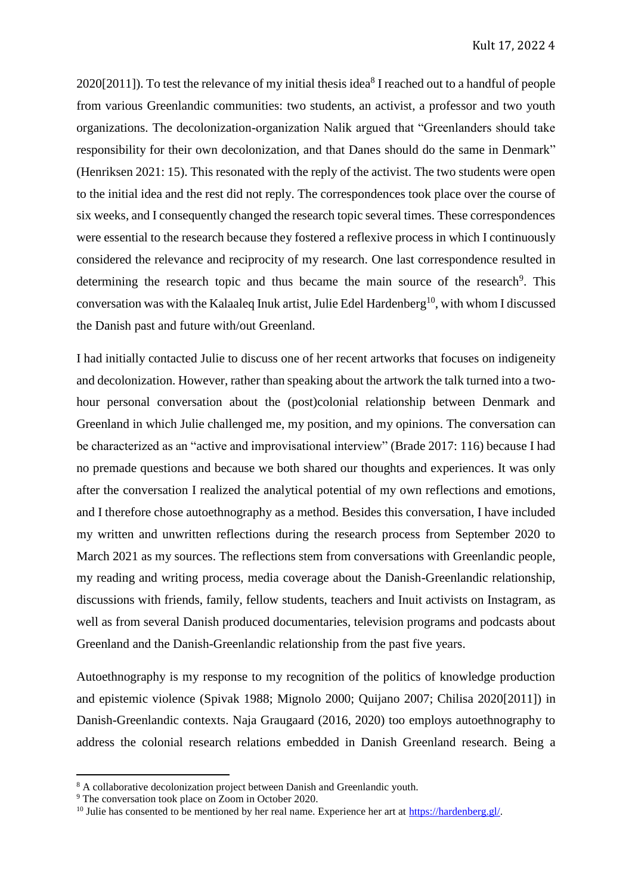2020[2011]). To test the relevance of my initial thesis idea<sup>8</sup> I reached out to a handful of people from various Greenlandic communities: two students, an activist, a professor and two youth organizations. The decolonization-organization Nalik argued that "Greenlanders should take responsibility for their own decolonization, and that Danes should do the same in Denmark" (Henriksen 2021: 15). This resonated with the reply of the activist. The two students were open to the initial idea and the rest did not reply. The correspondences took place over the course of six weeks, and I consequently changed the research topic several times. These correspondences were essential to the research because they fostered a reflexive process in which I continuously considered the relevance and reciprocity of my research. One last correspondence resulted in determining the research topic and thus became the main source of the research<sup>9</sup>. This conversation was with the Kalaaleq Inuk artist, Julie Edel Hardenberg $^{10}$ , with whom I discussed the Danish past and future with/out Greenland.

I had initially contacted Julie to discuss one of her recent artworks that focuses on indigeneity and decolonization. However, rather than speaking about the artwork the talk turned into a twohour personal conversation about the (post)colonial relationship between Denmark and Greenland in which Julie challenged me, my position, and my opinions. The conversation can be characterized as an "active and improvisational interview" (Brade 2017: 116) because I had no premade questions and because we both shared our thoughts and experiences. It was only after the conversation I realized the analytical potential of my own reflections and emotions, and I therefore chose autoethnography as a method. Besides this conversation, I have included my written and unwritten reflections during the research process from September 2020 to March 2021 as my sources. The reflections stem from conversations with Greenlandic people, my reading and writing process, media coverage about the Danish-Greenlandic relationship, discussions with friends, family, fellow students, teachers and Inuit activists on Instagram, as well as from several Danish produced documentaries, television programs and podcasts about Greenland and the Danish-Greenlandic relationship from the past five years.

Autoethnography is my response to my recognition of the politics of knowledge production and epistemic violence (Spivak 1988; Mignolo 2000; Quijano 2007; Chilisa 2020[2011]) in Danish-Greenlandic contexts. Naja Graugaard (2016, 2020) too employs autoethnography to address the colonial research relations embedded in Danish Greenland research. Being a

 $\overline{a}$ 

<sup>&</sup>lt;sup>8</sup> A collaborative decolonization project between Danish and Greenlandic youth.

<sup>9</sup> The conversation took place on Zoom in October 2020.

<sup>&</sup>lt;sup>10</sup> Julie has consented to be mentioned by her real name. Experience her art at [https://hardenberg.gl/.](https://hardenberg.gl/)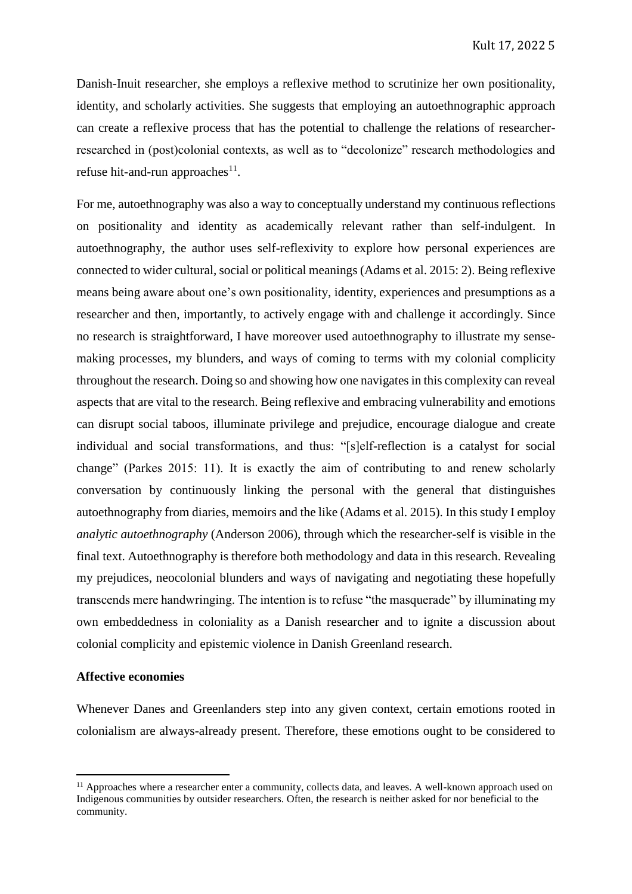Danish-Inuit researcher, she employs a reflexive method to scrutinize her own positionality, identity, and scholarly activities. She suggests that employing an autoethnographic approach can create a reflexive process that has the potential to challenge the relations of researcherresearched in (post)colonial contexts, as well as to "decolonize" research methodologies and refuse hit-and-run approaches<sup>11</sup>.

For me, autoethnography was also a way to conceptually understand my continuous reflections on positionality and identity as academically relevant rather than self-indulgent. In autoethnography, the author uses self-reflexivity to explore how personal experiences are connected to wider cultural, social or political meanings (Adams et al. 2015: 2). Being reflexive means being aware about one's own positionality, identity, experiences and presumptions as a researcher and then, importantly, to actively engage with and challenge it accordingly. Since no research is straightforward, I have moreover used autoethnography to illustrate my sensemaking processes, my blunders, and ways of coming to terms with my colonial complicity throughout the research. Doing so and showing how one navigates in this complexity can reveal aspects that are vital to the research. Being reflexive and embracing vulnerability and emotions can disrupt social taboos, illuminate privilege and prejudice, encourage dialogue and create individual and social transformations, and thus: "[s]elf-reflection is a catalyst for social change" (Parkes 2015: 11). It is exactly the aim of contributing to and renew scholarly conversation by continuously linking the personal with the general that distinguishes autoethnography from diaries, memoirs and the like (Adams et al. 2015). In this study I employ *analytic autoethnography* (Anderson 2006), through which the researcher-self is visible in the final text. Autoethnography is therefore both methodology and data in this research. Revealing my prejudices, neocolonial blunders and ways of navigating and negotiating these hopefully transcends mere handwringing. The intention is to refuse "the masquerade" by illuminating my own embeddedness in coloniality as a Danish researcher and to ignite a discussion about colonial complicity and epistemic violence in Danish Greenland research.

### **Affective economies**

 $\overline{a}$ 

Whenever Danes and Greenlanders step into any given context, certain emotions rooted in colonialism are always-already present. Therefore, these emotions ought to be considered to

<sup>&</sup>lt;sup>11</sup> Approaches where a researcher enter a community, collects data, and leaves. A well-known approach used on Indigenous communities by outsider researchers. Often, the research is neither asked for nor beneficial to the community.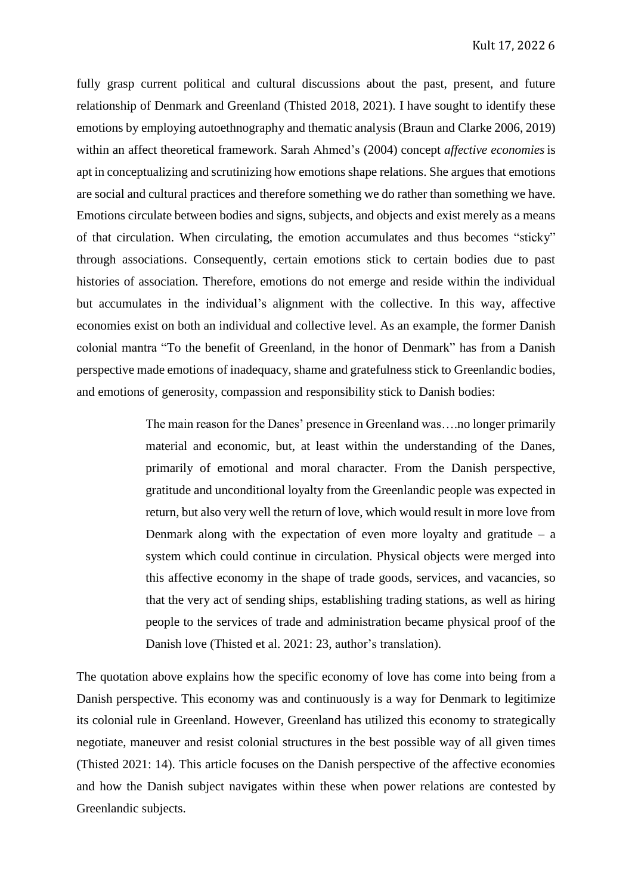fully grasp current political and cultural discussions about the past, present, and future relationship of Denmark and Greenland (Thisted 2018, 2021). I have sought to identify these emotions by employing autoethnography and thematic analysis (Braun and Clarke 2006, 2019) within an affect theoretical framework. Sarah Ahmed's (2004) concept *affective economies* is apt in conceptualizing and scrutinizing how emotions shape relations. She argues that emotions are social and cultural practices and therefore something we do rather than something we have. Emotions circulate between bodies and signs, subjects, and objects and exist merely as a means of that circulation. When circulating, the emotion accumulates and thus becomes "sticky" through associations. Consequently, certain emotions stick to certain bodies due to past histories of association. Therefore, emotions do not emerge and reside within the individual but accumulates in the individual's alignment with the collective. In this way, affective economies exist on both an individual and collective level. As an example, the former Danish colonial mantra "To the benefit of Greenland, in the honor of Denmark" has from a Danish perspective made emotions of inadequacy, shame and gratefulness stick to Greenlandic bodies, and emotions of generosity, compassion and responsibility stick to Danish bodies:

> The main reason for the Danes' presence in Greenland was….no longer primarily material and economic, but, at least within the understanding of the Danes, primarily of emotional and moral character. From the Danish perspective, gratitude and unconditional loyalty from the Greenlandic people was expected in return, but also very well the return of love, which would result in more love from Denmark along with the expectation of even more loyalty and gratitude  $-$  a system which could continue in circulation. Physical objects were merged into this affective economy in the shape of trade goods, services, and vacancies, so that the very act of sending ships, establishing trading stations, as well as hiring people to the services of trade and administration became physical proof of the Danish love (Thisted et al. 2021: 23, author's translation).

The quotation above explains how the specific economy of love has come into being from a Danish perspective. This economy was and continuously is a way for Denmark to legitimize its colonial rule in Greenland. However, Greenland has utilized this economy to strategically negotiate, maneuver and resist colonial structures in the best possible way of all given times (Thisted 2021: 14). This article focuses on the Danish perspective of the affective economies and how the Danish subject navigates within these when power relations are contested by Greenlandic subjects.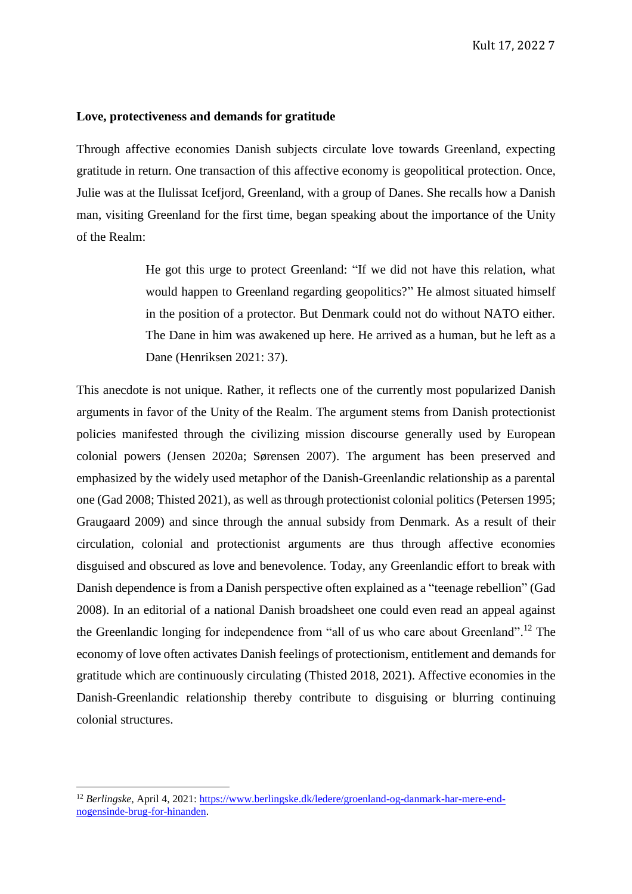#### **Love, protectiveness and demands for gratitude**

Through affective economies Danish subjects circulate love towards Greenland, expecting gratitude in return. One transaction of this affective economy is geopolitical protection. Once, Julie was at the Ilulissat Icefjord, Greenland, with a group of Danes. She recalls how a Danish man, visiting Greenland for the first time, began speaking about the importance of the Unity of the Realm:

> He got this urge to protect Greenland: "If we did not have this relation, what would happen to Greenland regarding geopolitics?" He almost situated himself in the position of a protector. But Denmark could not do without NATO either. The Dane in him was awakened up here. He arrived as a human, but he left as a Dane (Henriksen 2021: 37).

This anecdote is not unique. Rather, it reflects one of the currently most popularized Danish arguments in favor of the Unity of the Realm. The argument stems from Danish protectionist policies manifested through the civilizing mission discourse generally used by European colonial powers (Jensen 2020a; Sørensen 2007). The argument has been preserved and emphasized by the widely used metaphor of the Danish-Greenlandic relationship as a parental one (Gad 2008; Thisted 2021), as well as through protectionist colonial politics (Petersen 1995; Graugaard 2009) and since through the annual subsidy from Denmark. As a result of their circulation, colonial and protectionist arguments are thus through affective economies disguised and obscured as love and benevolence. Today, any Greenlandic effort to break with Danish dependence is from a Danish perspective often explained as a "teenage rebellion" (Gad 2008). In an editorial of a national Danish broadsheet one could even read an appeal against the Greenlandic longing for independence from "all of us who care about Greenland".<sup>12</sup> The economy of love often activates Danish feelings of protectionism, entitlement and demands for gratitude which are continuously circulating (Thisted 2018, 2021). Affective economies in the Danish-Greenlandic relationship thereby contribute to disguising or blurring continuing colonial structures.

 $\overline{a}$ 

<sup>12</sup> *Berlingske*, April 4, 2021[: https://www.berlingske.dk/ledere/groenland-og-danmark-har-mere-end](https://www.berlingske.dk/ledere/groenland-og-danmark-har-mere-end-nogensinde-brug-for-hinanden)[nogensinde-brug-for-hinanden.](https://www.berlingske.dk/ledere/groenland-og-danmark-har-mere-end-nogensinde-brug-for-hinanden)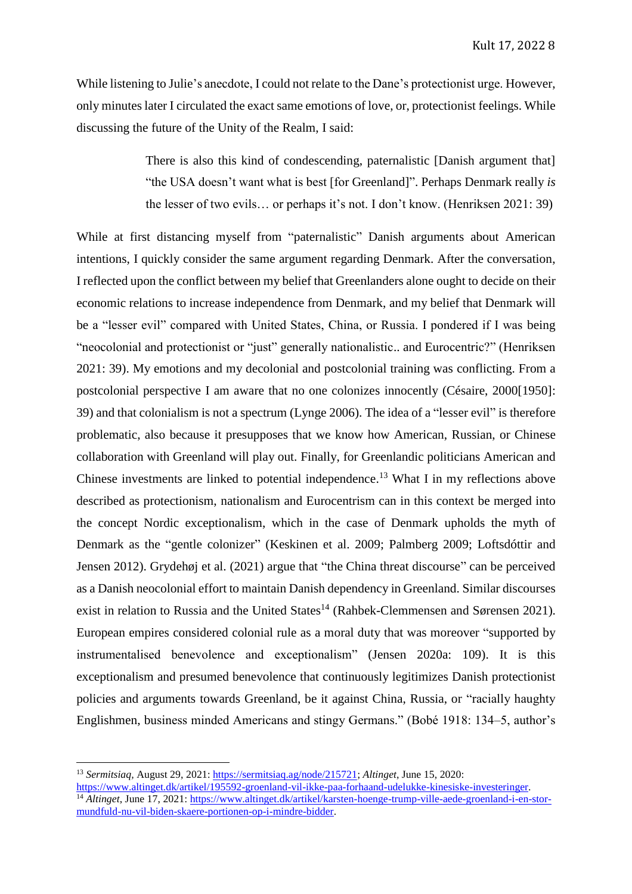While listening to Julie's anecdote, I could not relate to the Dane's protectionist urge. However, only minutes later I circulated the exact same emotions of love, or, protectionist feelings. While discussing the future of the Unity of the Realm, I said:

> There is also this kind of condescending, paternalistic [Danish argument that] "the USA doesn't want what is best [for Greenland]". Perhaps Denmark really *is* the lesser of two evils… or perhaps it's not. I don't know. (Henriksen 2021: 39)

While at first distancing myself from "paternalistic" Danish arguments about American intentions, I quickly consider the same argument regarding Denmark. After the conversation, I reflected upon the conflict between my belief that Greenlanders alone ought to decide on their economic relations to increase independence from Denmark, and my belief that Denmark will be a "lesser evil" compared with United States, China, or Russia. I pondered if I was being "neocolonial and protectionist or "just" generally nationalistic.. and Eurocentric?" (Henriksen 2021: 39). My emotions and my decolonial and postcolonial training was conflicting. From a postcolonial perspective I am aware that no one colonizes innocently (Césaire, 2000[1950]: 39) and that colonialism is not a spectrum (Lynge 2006). The idea of a "lesser evil" is therefore problematic, also because it presupposes that we know how American, Russian, or Chinese collaboration with Greenland will play out. Finally, for Greenlandic politicians American and Chinese investments are linked to potential independence. <sup>13</sup> What I in my reflections above described as protectionism, nationalism and Eurocentrism can in this context be merged into the concept Nordic exceptionalism, which in the case of Denmark upholds the myth of Denmark as the "gentle colonizer" (Keskinen et al. 2009; Palmberg 2009; Loftsdóttir and Jensen 2012). Grydehøj et al. (2021) argue that "the China threat discourse" can be perceived as a Danish neocolonial effort to maintain Danish dependency in Greenland. Similar discourses exist in relation to Russia and the United States<sup>14</sup> (Rahbek-Clemmensen and Sørensen 2021). European empires considered colonial rule as a moral duty that was moreover "supported by instrumentalised benevolence and exceptionalism" (Jensen 2020a: 109). It is this exceptionalism and presumed benevolence that continuously legitimizes Danish protectionist policies and arguments towards Greenland, be it against China, Russia, or "racially haughty Englishmen, business minded Americans and stingy Germans." (Bobé 1918: 134–5, author's

l

<sup>13</sup> *Sermitsiaq,* August 29, 2021: [https://sermitsiaq.ag/node/215721;](https://sermitsiaq.ag/node/215721) *Altinget*, June 15, 2020:

[https://www.altinget.dk/artikel/195592-groenland-vil-ikke-paa-forhaand-udelukke-kinesiske-investeringer.](https://www.altinget.dk/artikel/195592-groenland-vil-ikke-paa-forhaand-udelukke-kinesiske-investeringer) <sup>14</sup> *Altinget*, June 17, 2021: [https://www.altinget.dk/artikel/karsten-hoenge-trump-ville-aede-groenland-i-en-stor](https://www.altinget.dk/artikel/karsten-hoenge-trump-ville-aede-groenland-i-en-stor-mundfuld-nu-vil-biden-skaere-portionen-op-i-mindre-bidder)[mundfuld-nu-vil-biden-skaere-portionen-op-i-mindre-bidder.](https://www.altinget.dk/artikel/karsten-hoenge-trump-ville-aede-groenland-i-en-stor-mundfuld-nu-vil-biden-skaere-portionen-op-i-mindre-bidder)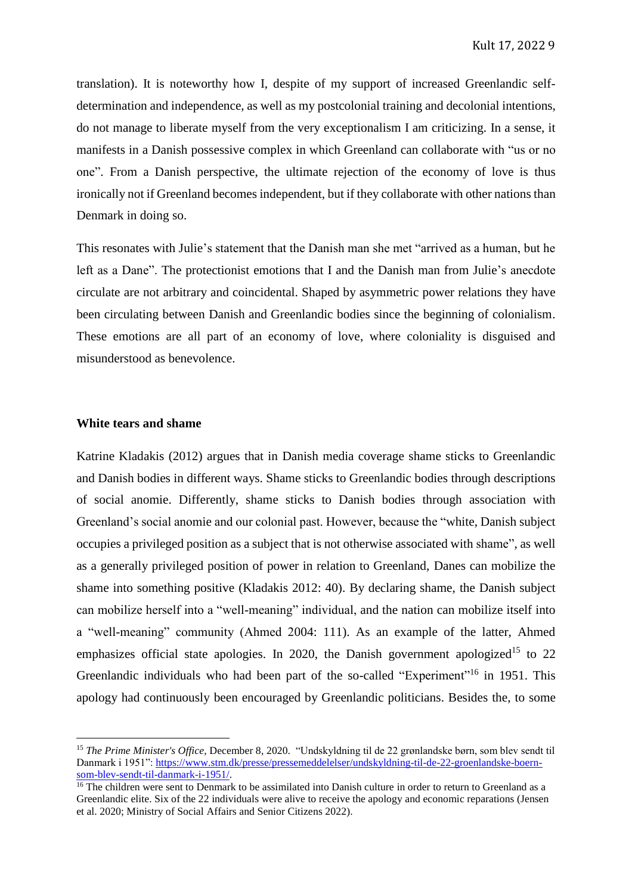translation). It is noteworthy how I, despite of my support of increased Greenlandic selfdetermination and independence, as well as my postcolonial training and decolonial intentions, do not manage to liberate myself from the very exceptionalism I am criticizing. In a sense, it manifests in a Danish possessive complex in which Greenland can collaborate with "us or no one". From a Danish perspective, the ultimate rejection of the economy of love is thus ironically not if Greenland becomes independent, but if they collaborate with other nations than Denmark in doing so.

This resonates with Julie's statement that the Danish man she met "arrived as a human, but he left as a Dane". The protectionist emotions that I and the Danish man from Julie's anecdote circulate are not arbitrary and coincidental. Shaped by asymmetric power relations they have been circulating between Danish and Greenlandic bodies since the beginning of colonialism. These emotions are all part of an economy of love, where coloniality is disguised and misunderstood as benevolence.

#### **White tears and shame**

 $\overline{a}$ 

Katrine Kladakis (2012) argues that in Danish media coverage shame sticks to Greenlandic and Danish bodies in different ways. Shame sticks to Greenlandic bodies through descriptions of social anomie. Differently, shame sticks to Danish bodies through association with Greenland's social anomie and our colonial past. However, because the "white, Danish subject occupies a privileged position as a subject that is not otherwise associated with shame", as well as a generally privileged position of power in relation to Greenland, Danes can mobilize the shame into something positive (Kladakis 2012: 40). By declaring shame, the Danish subject can mobilize herself into a "well-meaning" individual, and the nation can mobilize itself into a "well-meaning" community (Ahmed 2004: 111). As an example of the latter, Ahmed emphasizes official state apologies. In 2020, the Danish government apologized<sup>15</sup> to 22 Greenlandic individuals who had been part of the so-called "Experiment"<sup>16</sup> in 1951. This apology had continuously been encouraged by Greenlandic politicians. Besides the, to some

<sup>15</sup> *The Prime Minister's Office*, December 8, 2020. "Undskyldning til de 22 grønlandske børn, som blev sendt til Danmark i 1951"[: https://www.stm.dk/presse/pressemeddelelser/undskyldning-til-de-22-groenlandske-boern](https://www.stm.dk/presse/pressemeddelelser/undskyldning-til-de-22-groenlandske-boern-som-blev-sendt-til-danmark-i-1951/)[som-blev-sendt-til-danmark-i-1951/.](https://www.stm.dk/presse/pressemeddelelser/undskyldning-til-de-22-groenlandske-boern-som-blev-sendt-til-danmark-i-1951/)

<sup>&</sup>lt;sup>16</sup> The children were sent to Denmark to be assimilated into Danish culture in order to return to Greenland as a Greenlandic elite. Six of the 22 individuals were alive to receive the apology and economic reparations (Jensen et al. 2020; Ministry of Social Affairs and Senior Citizens 2022).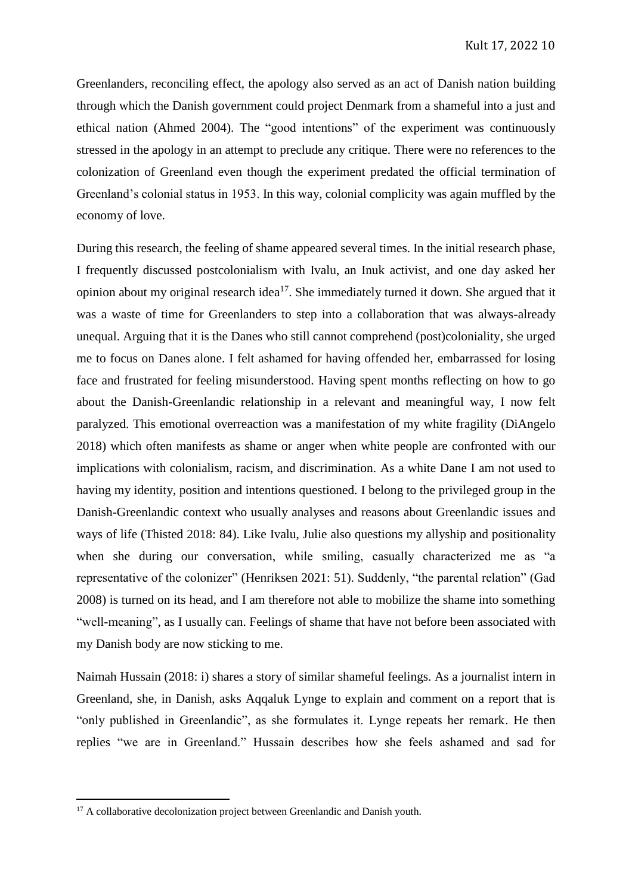Greenlanders, reconciling effect, the apology also served as an act of Danish nation building through which the Danish government could project Denmark from a shameful into a just and ethical nation (Ahmed 2004). The "good intentions" of the experiment was continuously stressed in the apology in an attempt to preclude any critique. There were no references to the colonization of Greenland even though the experiment predated the official termination of Greenland's colonial status in 1953. In this way, colonial complicity was again muffled by the economy of love.

During this research, the feeling of shame appeared several times. In the initial research phase, I frequently discussed postcolonialism with Ivalu, an Inuk activist, and one day asked her opinion about my original research idea<sup>17</sup>. She immediately turned it down. She argued that it was a waste of time for Greenlanders to step into a collaboration that was always-already unequal. Arguing that it is the Danes who still cannot comprehend (post)coloniality, she urged me to focus on Danes alone. I felt ashamed for having offended her, embarrassed for losing face and frustrated for feeling misunderstood. Having spent months reflecting on how to go about the Danish-Greenlandic relationship in a relevant and meaningful way, I now felt paralyzed. This emotional overreaction was a manifestation of my white fragility (DiAngelo 2018) which often manifests as shame or anger when white people are confronted with our implications with colonialism, racism, and discrimination. As a white Dane I am not used to having my identity, position and intentions questioned. I belong to the privileged group in the Danish-Greenlandic context who usually analyses and reasons about Greenlandic issues and ways of life (Thisted 2018: 84). Like Ivalu, Julie also questions my allyship and positionality when she during our conversation, while smiling, casually characterized me as "a representative of the colonizer" (Henriksen 2021: 51). Suddenly, "the parental relation" (Gad 2008) is turned on its head, and I am therefore not able to mobilize the shame into something "well-meaning", as I usually can. Feelings of shame that have not before been associated with my Danish body are now sticking to me.

Naimah Hussain (2018: i) shares a story of similar shameful feelings. As a journalist intern in Greenland, she, in Danish, asks Aqqaluk Lynge to explain and comment on a report that is "only published in Greenlandic", as she formulates it. Lynge repeats her remark. He then replies "we are in Greenland." Hussain describes how she feels ashamed and sad for

l

 $17$  A collaborative decolonization project between Greenlandic and Danish youth.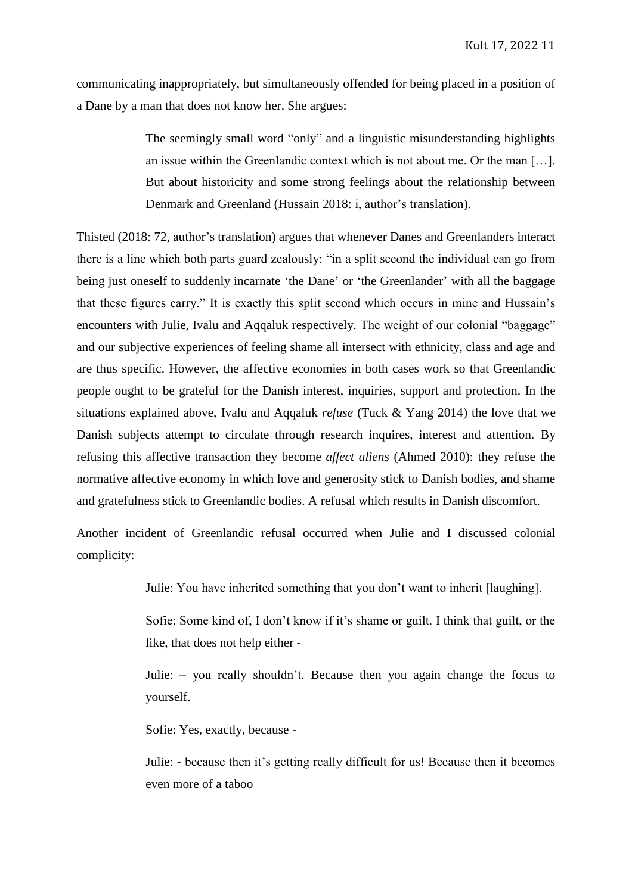communicating inappropriately, but simultaneously offended for being placed in a position of a Dane by a man that does not know her. She argues:

> The seemingly small word "only" and a linguistic misunderstanding highlights an issue within the Greenlandic context which is not about me. Or the man […]. But about historicity and some strong feelings about the relationship between Denmark and Greenland (Hussain 2018: i, author's translation).

Thisted (2018: 72, author's translation) argues that whenever Danes and Greenlanders interact there is a line which both parts guard zealously: "in a split second the individual can go from being just oneself to suddenly incarnate 'the Dane' or 'the Greenlander' with all the baggage that these figures carry." It is exactly this split second which occurs in mine and Hussain's encounters with Julie, Ivalu and Aqqaluk respectively. The weight of our colonial "baggage" and our subjective experiences of feeling shame all intersect with ethnicity, class and age and are thus specific. However, the affective economies in both cases work so that Greenlandic people ought to be grateful for the Danish interest, inquiries, support and protection. In the situations explained above, Ivalu and Aqqaluk *refuse* (Tuck & Yang 2014) the love that we Danish subjects attempt to circulate through research inquires, interest and attention. By refusing this affective transaction they become *affect aliens* (Ahmed 2010): they refuse the normative affective economy in which love and generosity stick to Danish bodies, and shame and gratefulness stick to Greenlandic bodies. A refusal which results in Danish discomfort.

Another incident of Greenlandic refusal occurred when Julie and I discussed colonial complicity:

Julie: You have inherited something that you don't want to inherit [laughing].

Sofie: Some kind of, I don't know if it's shame or guilt. I think that guilt, or the like, that does not help either -

Julie: – you really shouldn't. Because then you again change the focus to yourself.

Sofie: Yes, exactly, because -

Julie: - because then it's getting really difficult for us! Because then it becomes even more of a taboo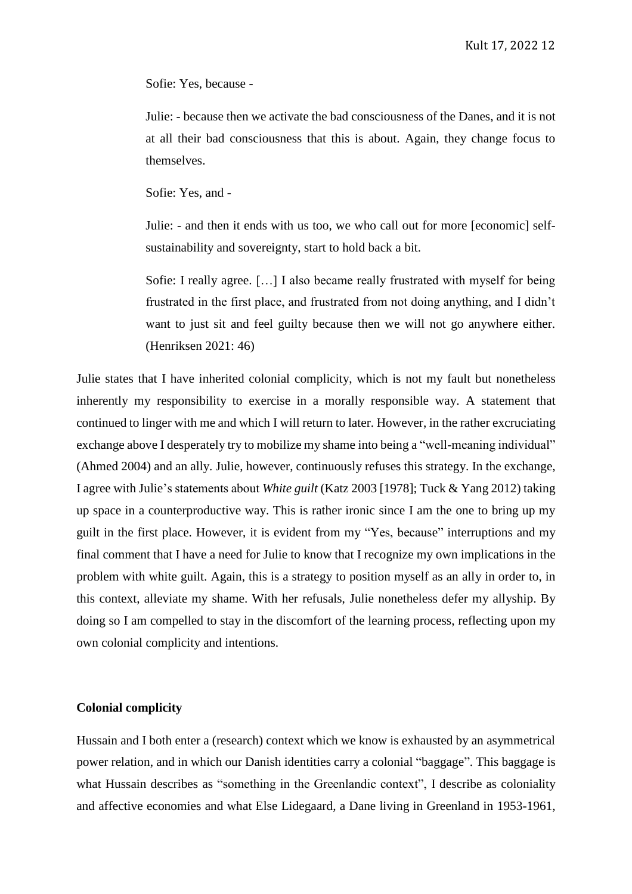Sofie: Yes, because -

Julie: - because then we activate the bad consciousness of the Danes, and it is not at all their bad consciousness that this is about. Again, they change focus to themselves.

Sofie: Yes, and -

Julie: - and then it ends with us too, we who call out for more [economic] selfsustainability and sovereignty, start to hold back a bit.

Sofie: I really agree. […] I also became really frustrated with myself for being frustrated in the first place, and frustrated from not doing anything, and I didn't want to just sit and feel guilty because then we will not go anywhere either. (Henriksen 2021: 46)

Julie states that I have inherited colonial complicity, which is not my fault but nonetheless inherently my responsibility to exercise in a morally responsible way. A statement that continued to linger with me and which I will return to later. However, in the rather excruciating exchange above I desperately try to mobilize my shame into being a "well-meaning individual" (Ahmed 2004) and an ally. Julie, however, continuously refuses this strategy. In the exchange, I agree with Julie's statements about *White guilt* (Katz 2003 [1978]; Tuck & Yang 2012) taking up space in a counterproductive way. This is rather ironic since I am the one to bring up my guilt in the first place. However, it is evident from my "Yes, because" interruptions and my final comment that I have a need for Julie to know that I recognize my own implications in the problem with white guilt. Again, this is a strategy to position myself as an ally in order to, in this context, alleviate my shame. With her refusals, Julie nonetheless defer my allyship. By doing so I am compelled to stay in the discomfort of the learning process, reflecting upon my own colonial complicity and intentions.

#### **Colonial complicity**

Hussain and I both enter a (research) context which we know is exhausted by an asymmetrical power relation, and in which our Danish identities carry a colonial "baggage". This baggage is what Hussain describes as "something in the Greenlandic context", I describe as coloniality and affective economies and what Else Lidegaard, a Dane living in Greenland in 1953-1961,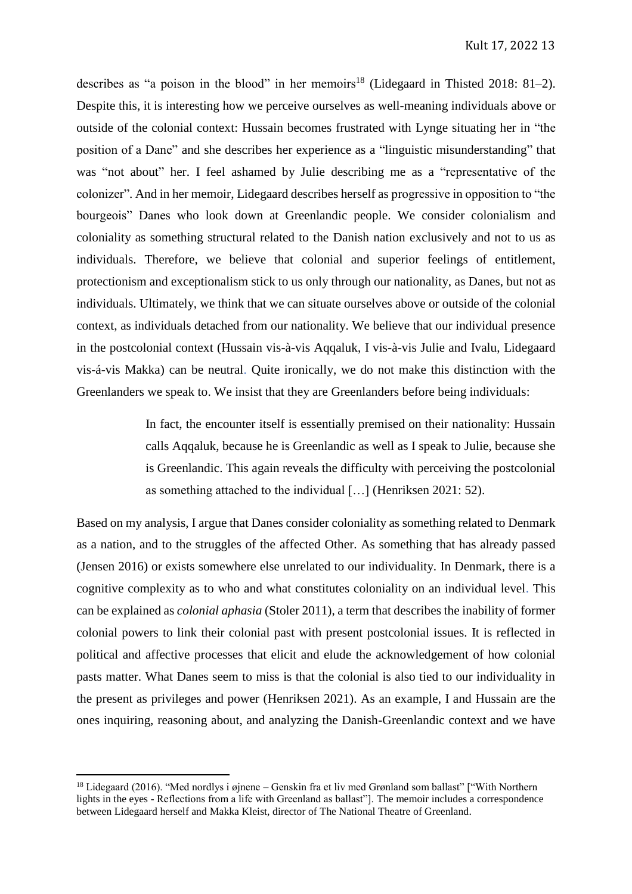describes as "a poison in the blood" in her memoirs<sup>18</sup> (Lidegaard in Thisted 2018: 81–2). Despite this, it is interesting how we perceive ourselves as well-meaning individuals above or outside of the colonial context: Hussain becomes frustrated with Lynge situating her in "the position of a Dane" and she describes her experience as a "linguistic misunderstanding" that was "not about" her. I feel ashamed by Julie describing me as a "representative of the colonizer". And in her memoir, Lidegaard describes herself as progressive in opposition to "the bourgeois" Danes who look down at Greenlandic people. We consider colonialism and coloniality as something structural related to the Danish nation exclusively and not to us as individuals. Therefore, we believe that colonial and superior feelings of entitlement, protectionism and exceptionalism stick to us only through our nationality, as Danes, but not as individuals. Ultimately, we think that we can situate ourselves above or outside of the colonial context, as individuals detached from our nationality. We believe that our individual presence in the postcolonial context (Hussain vis-à-vis Aqqaluk, I vis-à-vis Julie and Ivalu, Lidegaard vis-á-vis Makka) can be neutral. Quite ironically, we do not make this distinction with the Greenlanders we speak to. We insist that they are Greenlanders before being individuals:

> In fact, the encounter itself is essentially premised on their nationality: Hussain calls Aqqaluk, because he is Greenlandic as well as I speak to Julie, because she is Greenlandic. This again reveals the difficulty with perceiving the postcolonial as something attached to the individual […] (Henriksen 2021: 52).

Based on my analysis, I argue that Danes consider coloniality as something related to Denmark as a nation, and to the struggles of the affected Other. As something that has already passed (Jensen 2016) or exists somewhere else unrelated to our individuality. In Denmark, there is a cognitive complexity as to who and what constitutes coloniality on an individual level. This can be explained as *colonial aphasia* (Stoler 2011), a term that describes the inability of former colonial powers to link their colonial past with present postcolonial issues. It is reflected in political and affective processes that elicit and elude the acknowledgement of how colonial pasts matter. What Danes seem to miss is that the colonial is also tied to our individuality in the present as privileges and power (Henriksen 2021). As an example, I and Hussain are the ones inquiring, reasoning about, and analyzing the Danish-Greenlandic context and we have

 $\overline{a}$ 

<sup>&</sup>lt;sup>18</sup> Lidegaard (2016). "Med nordlys i øjnene – Genskin fra et liv med Grønland som ballast" ["With Northern lights in the eyes - Reflections from a life with Greenland as ballast"]. The memoir includes a correspondence between Lidegaard herself and Makka Kleist, director of The National Theatre of Greenland.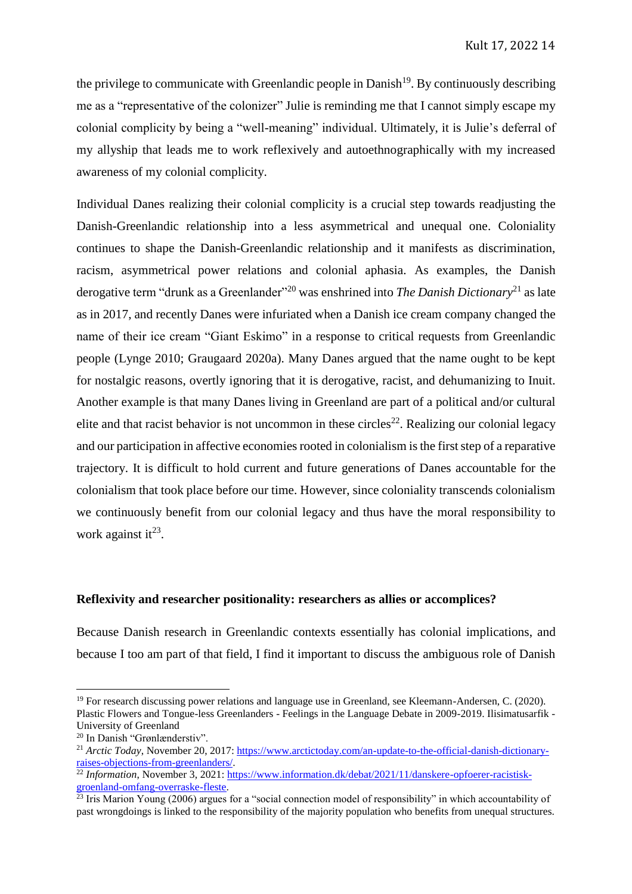the privilege to communicate with Greenlandic people in Danish<sup>19</sup>. By continuously describing me as a "representative of the colonizer" Julie is reminding me that I cannot simply escape my colonial complicity by being a "well-meaning" individual. Ultimately, it is Julie's deferral of my allyship that leads me to work reflexively and autoethnographically with my increased awareness of my colonial complicity.

Individual Danes realizing their colonial complicity is a crucial step towards readjusting the Danish-Greenlandic relationship into a less asymmetrical and unequal one. Coloniality continues to shape the Danish-Greenlandic relationship and it manifests as discrimination, racism, asymmetrical power relations and colonial aphasia. As examples, the Danish derogative term "drunk as a Greenlander"<sup>20</sup> was enshrined into *The Danish Dictionary*<sup>21</sup> as late as in 2017, and recently Danes were infuriated when a Danish ice cream company changed the name of their ice cream "Giant Eskimo" in a response to critical requests from Greenlandic people (Lynge 2010; Graugaard 2020a). Many Danes argued that the name ought to be kept for nostalgic reasons, overtly ignoring that it is derogative, racist, and dehumanizing to Inuit. Another example is that many Danes living in Greenland are part of a political and/or cultural elite and that racist behavior is not uncommon in these circles<sup>22</sup>. Realizing our colonial legacy and our participation in affective economies rooted in colonialism is the first step of a reparative trajectory. It is difficult to hold current and future generations of Danes accountable for the colonialism that took place before our time. However, since coloniality transcends colonialism we continuously benefit from our colonial legacy and thus have the moral responsibility to work against it<sup>23</sup>.

# **Reflexivity and researcher positionality: researchers as allies or accomplices?**

Because Danish research in Greenlandic contexts essentially has colonial implications, and because I too am part of that field, I find it important to discuss the ambiguous role of Danish

l

<sup>&</sup>lt;sup>19</sup> For research discussing power relations and language use in Greenland, see Kleemann-Andersen, C. (2020). Plastic Flowers and Tongue-less Greenlanders - Feelings in the Language Debate in 2009-2019. Ilisimatusarfik - University of Greenland

<sup>20</sup> In Danish "Grønlænderstiv".

<sup>&</sup>lt;sup>21</sup> *Arctic Today*, November 20, 2017: [https://www.arctictoday.com/an-update-to-the-official-danish-dictionary](https://www.arctictoday.com/an-update-to-the-official-danish-dictionary-raises-objections-from-greenlanders/)[raises-objections-from-greenlanders/.](https://www.arctictoday.com/an-update-to-the-official-danish-dictionary-raises-objections-from-greenlanders/)

<sup>&</sup>lt;sup>22</sup> *Information*, November 3, 2021: [https://www.information.dk/debat/2021/11/danskere-opfoerer-racistisk](https://www.information.dk/debat/2021/11/danskere-opfoerer-racistisk-groenland-omfang-overraske-fleste)[groenland-omfang-overraske-fleste.](https://www.information.dk/debat/2021/11/danskere-opfoerer-racistisk-groenland-omfang-overraske-fleste)

 $^{23}$  Iris Marion Young (2006) argues for a "social connection model of responsibility" in which accountability of past wrongdoings is linked to the responsibility of the majority population who benefits from unequal structures.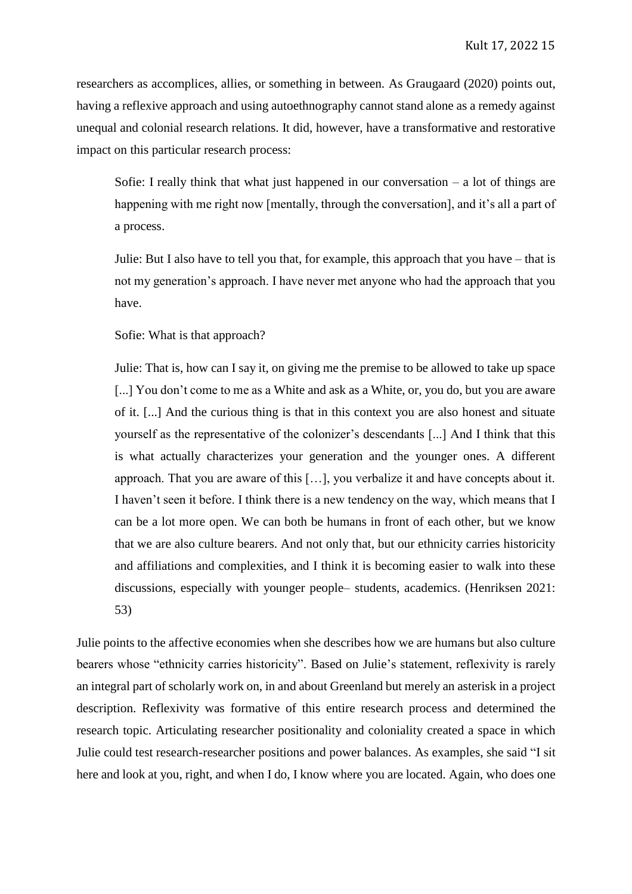researchers as accomplices, allies, or something in between. As Graugaard (2020) points out, having a reflexive approach and using autoethnography cannot stand alone as a remedy against unequal and colonial research relations. It did, however, have a transformative and restorative impact on this particular research process:

Sofie: I really think that what just happened in our conversation  $-$  a lot of things are happening with me right now [mentally, through the conversation], and it's all a part of a process.

Julie: But I also have to tell you that, for example, this approach that you have – that is not my generation's approach. I have never met anyone who had the approach that you have.

Sofie: What is that approach?

Julie: That is, how can I say it, on giving me the premise to be allowed to take up space [...] You don't come to me as a White and ask as a White, or, you do, but you are aware of it. [...] And the curious thing is that in this context you are also honest and situate yourself as the representative of the colonizer's descendants [...] And I think that this is what actually characterizes your generation and the younger ones. A different approach. That you are aware of this […], you verbalize it and have concepts about it. I haven't seen it before. I think there is a new tendency on the way, which means that I can be a lot more open. We can both be humans in front of each other, but we know that we are also culture bearers. And not only that, but our ethnicity carries historicity and affiliations and complexities, and I think it is becoming easier to walk into these discussions, especially with younger people– students, academics. (Henriksen 2021: 53)

Julie points to the affective economies when she describes how we are humans but also culture bearers whose "ethnicity carries historicity". Based on Julie's statement, reflexivity is rarely an integral part of scholarly work on, in and about Greenland but merely an asterisk in a project description. Reflexivity was formative of this entire research process and determined the research topic. Articulating researcher positionality and coloniality created a space in which Julie could test research-researcher positions and power balances. As examples, she said "I sit here and look at you, right, and when I do, I know where you are located. Again, who does one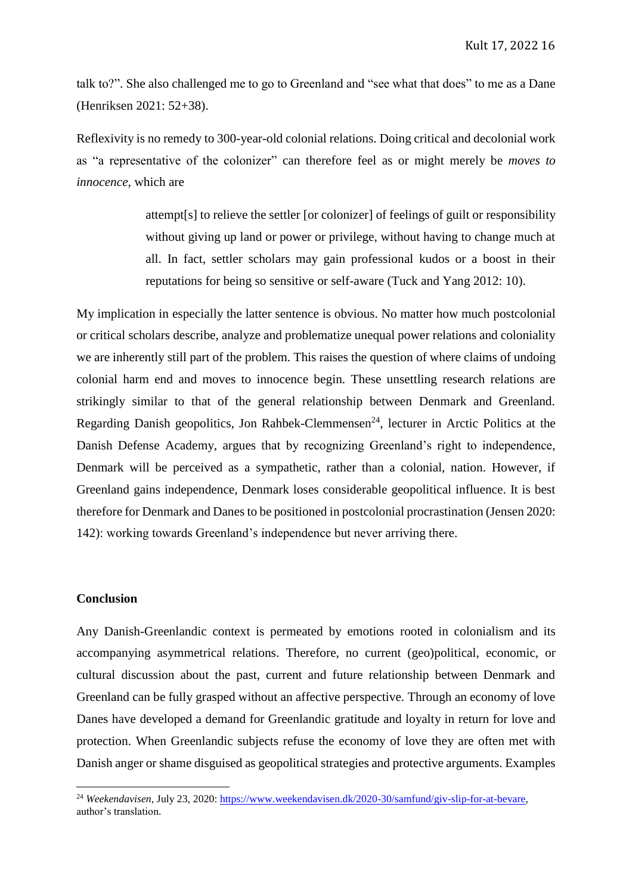talk to?". She also challenged me to go to Greenland and "see what that does" to me as a Dane (Henriksen 2021: 52+38).

Reflexivity is no remedy to 300-year-old colonial relations. Doing critical and decolonial work as "a representative of the colonizer" can therefore feel as or might merely be *moves to innocence,* which are

> attempt[s] to relieve the settler [or colonizer] of feelings of guilt or responsibility without giving up land or power or privilege, without having to change much at all. In fact, settler scholars may gain professional kudos or a boost in their reputations for being so sensitive or self-aware (Tuck and Yang 2012: 10).

My implication in especially the latter sentence is obvious. No matter how much postcolonial or critical scholars describe, analyze and problematize unequal power relations and coloniality we are inherently still part of the problem. This raises the question of where claims of undoing colonial harm end and moves to innocence begin. These unsettling research relations are strikingly similar to that of the general relationship between Denmark and Greenland. Regarding Danish geopolitics, Jon Rahbek-Clemmensen<sup>24</sup>, lecturer in Arctic Politics at the Danish Defense Academy, argues that by recognizing Greenland's right to independence, Denmark will be perceived as a sympathetic, rather than a colonial, nation. However, if Greenland gains independence, Denmark loses considerable geopolitical influence. It is best therefore for Denmark and Danes to be positioned in postcolonial procrastination (Jensen 2020: 142): working towards Greenland's independence but never arriving there.

## **Conclusion**

 $\overline{a}$ 

Any Danish-Greenlandic context is permeated by emotions rooted in colonialism and its accompanying asymmetrical relations. Therefore, no current (geo)political, economic, or cultural discussion about the past, current and future relationship between Denmark and Greenland can be fully grasped without an affective perspective. Through an economy of love Danes have developed a demand for Greenlandic gratitude and loyalty in return for love and protection. When Greenlandic subjects refuse the economy of love they are often met with Danish anger or shame disguised as geopolitical strategies and protective arguments. Examples

<sup>24</sup> *Weekendavisen*, July 23, 2020: [https://www.weekendavisen.dk/2020-30/samfund/giv-slip-for-at-bevare,](https://www.weekendavisen.dk/2020-30/samfund/giv-slip-for-at-bevare) author's translation.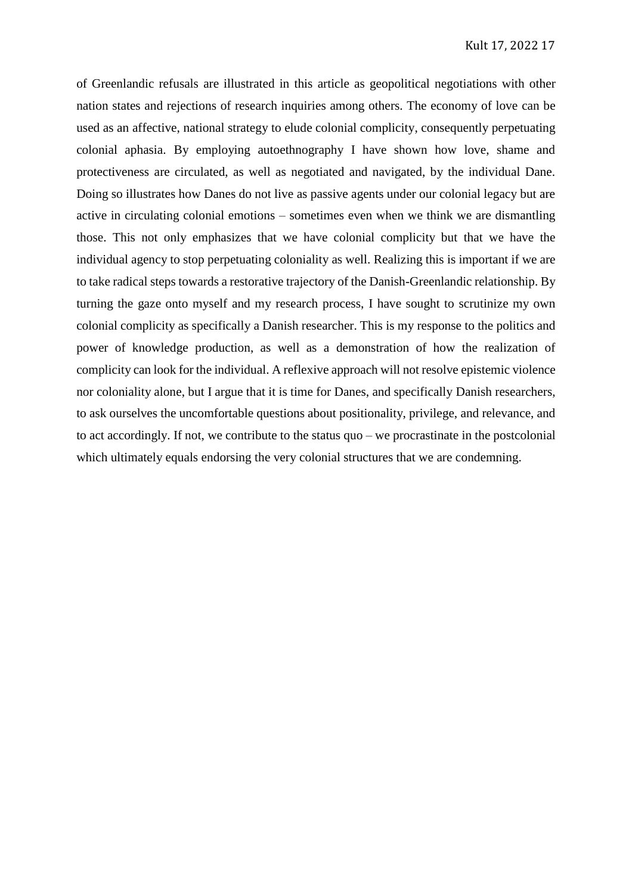of Greenlandic refusals are illustrated in this article as geopolitical negotiations with other nation states and rejections of research inquiries among others. The economy of love can be used as an affective, national strategy to elude colonial complicity, consequently perpetuating colonial aphasia. By employing autoethnography I have shown how love, shame and protectiveness are circulated, as well as negotiated and navigated, by the individual Dane. Doing so illustrates how Danes do not live as passive agents under our colonial legacy but are active in circulating colonial emotions – sometimes even when we think we are dismantling those. This not only emphasizes that we have colonial complicity but that we have the individual agency to stop perpetuating coloniality as well. Realizing this is important if we are to take radical steps towards a restorative trajectory of the Danish-Greenlandic relationship. By turning the gaze onto myself and my research process, I have sought to scrutinize my own colonial complicity as specifically a Danish researcher. This is my response to the politics and power of knowledge production, as well as a demonstration of how the realization of complicity can look for the individual. A reflexive approach will not resolve epistemic violence nor coloniality alone, but I argue that it is time for Danes, and specifically Danish researchers, to ask ourselves the uncomfortable questions about positionality, privilege, and relevance, and to act accordingly. If not, we contribute to the status quo – we procrastinate in the postcolonial which ultimately equals endorsing the very colonial structures that we are condemning.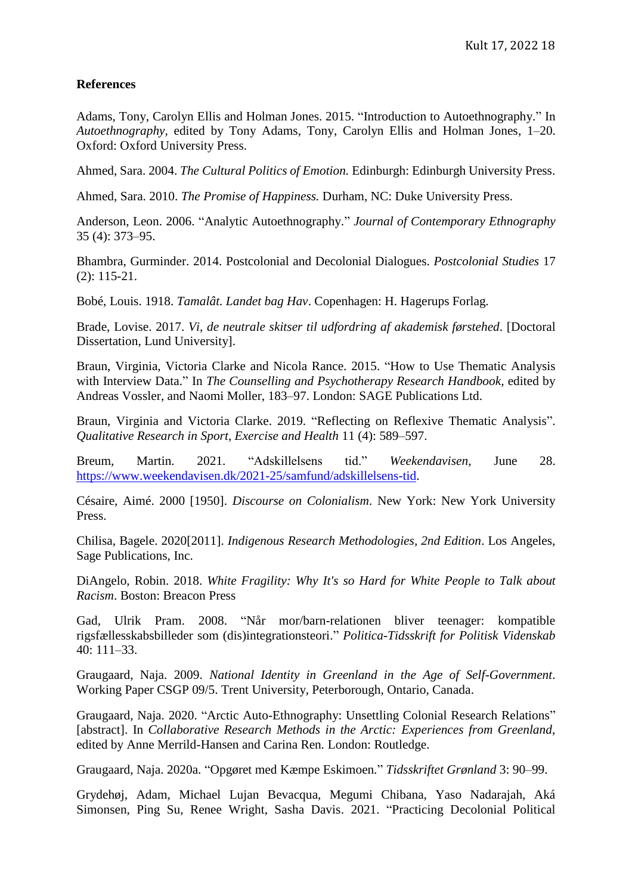# **References**

Adams, Tony, Carolyn Ellis and Holman Jones. 2015. "Introduction to Autoethnography." In *Autoethnography,* edited by Tony Adams, Tony, Carolyn Ellis and Holman Jones, 1–20. Oxford: Oxford University Press.

Ahmed, Sara. 2004. *The Cultural Politics of Emotion.* Edinburgh: Edinburgh University Press.

Ahmed, Sara. 2010. *The Promise of Happiness.* Durham, NC: Duke University Press.

Anderson, Leon. 2006. "Analytic Autoethnography." *Journal of Contemporary Ethnography* 35 (4): 373–95.

Bhambra, Gurminder. 2014. Postcolonial and Decolonial Dialogues. *Postcolonial Studies* 17 (2): 115-21.

Bobé, Louis. 1918. *Tamalât. Landet bag Hav*. Copenhagen: H. Hagerups Forlag.

Brade, Lovise. 2017. *Vi, de neutrale skitser til udfordring af akademisk førstehed*. [Doctoral Dissertation, Lund University].

Braun, Virginia, Victoria Clarke and Nicola Rance. 2015. "How to Use Thematic Analysis with Interview Data." In *The Counselling and Psychotherapy Research Handbook*, edited by Andreas Vossler, and Naomi Moller, 183–97. London: SAGE Publications Ltd.

Braun, Virginia and Victoria Clarke. 2019. "Reflecting on Reflexive Thematic Analysis". *Qualitative Research in Sport, Exercise and Health* 11 (4): 589–597.

Breum, Martin. 2021. "Adskillelsens tid." *Weekendavisen*, June 28. [https://www.weekendavisen.dk/2021-25/samfund/adskillelsens-tid.](https://www.weekendavisen.dk/2021-25/samfund/adskillelsens-tid)

Césaire, Aimé. 2000 [1950]. *Discourse on Colonialism*. New York: New York University Press.

Chilisa, Bagele. 2020[2011]. *Indigenous Research Methodologies, 2nd Edition*. Los Angeles, Sage Publications, Inc.

DiAngelo, Robin. 2018. *White Fragility: Why It's so Hard for White People to Talk about Racism*. Boston: Breacon Press

Gad, Ulrik Pram. 2008. "Når mor/barn-relationen bliver teenager: kompatible rigsfællesskabsbilleder som (dis)integrationsteori." *Politica-Tidsskrift for Politisk Videnskab* 40: 111–33.

Graugaard, Naja. 2009. *National Identity in Greenland in the Age of Self-Government*. Working Paper CSGP 09/5. Trent University, Peterborough, Ontario, Canada.

Graugaard, Naja. 2020. "Arctic Auto-Ethnography: Unsettling Colonial Research Relations" [abstract]. In *Collaborative Research Methods in the Arctic: Experiences from Greenland*, edited by Anne Merrild-Hansen and Carina Ren*.* London: Routledge.

Graugaard, Naja. 2020a. "Opgøret med Kæmpe Eskimoen*.*" *Tidsskriftet Grønland* 3: 90–99.

Grydehøj, Adam, Michael Lujan Bevacqua, Megumi Chibana, Yaso Nadarajah, Aká Simonsen, Ping Su, Renee Wright, Sasha Davis. 2021. "Practicing Decolonial Political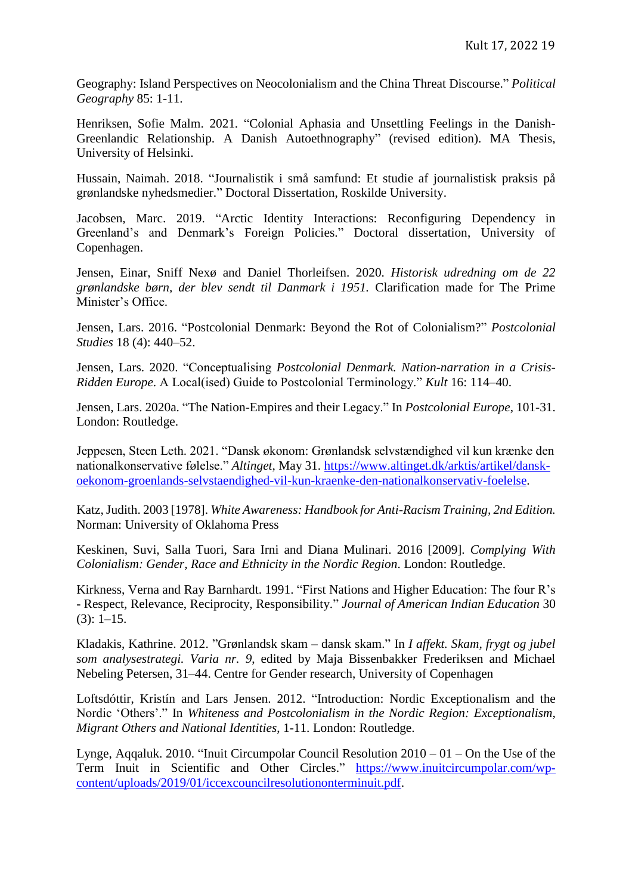Geography: Island Perspectives on Neocolonialism and the China Threat Discourse." *Political Geography* 85: 1-11.

Henriksen, Sofie Malm. 2021*.* "Colonial Aphasia and Unsettling Feelings in the Danish-Greenlandic Relationship. A Danish Autoethnography" (revised edition). MA Thesis, University of Helsinki.

Hussain, Naimah. 2018. "Journalistik i små samfund: Et studie af journalistisk praksis på grønlandske nyhedsmedier." Doctoral Dissertation, Roskilde University.

Jacobsen, Marc. 2019. "Arctic Identity Interactions: Reconfiguring Dependency in Greenland's and Denmark's Foreign Policies." Doctoral dissertation, University of Copenhagen.

Jensen, Einar, Sniff Nexø and Daniel Thorleifsen. 2020. *Historisk udredning om de 22 grønlandske børn, der blev sendt til Danmark i 1951.* Clarification made for The Prime Minister's Office.

Jensen, Lars. 2016. "Postcolonial Denmark: Beyond the Rot of Colonialism?" *Postcolonial Studies* 18 (4): 440–52.

Jensen, Lars. 2020. "Conceptualising *Postcolonial Denmark. Nation-narration in a Crisis-Ridden Europe*. A Local(ised) Guide to Postcolonial Terminology." *Kult* 16: 114–40.

Jensen, Lars. 2020a. "The Nation-Empires and their Legacy." In *Postcolonial Europe*, 101-31. London: Routledge.

Jeppesen, Steen Leth. 2021. "Dansk økonom: Grønlandsk selvstændighed vil kun krænke den nationalkonservative følelse." *Altinget*, May 31. [https://www.altinget.dk/arktis/artikel/dansk](https://www.altinget.dk/arktis/artikel/dansk-oekonom-groenlands-selvstaendighed-vil-kun-kraenke-den-nationalkonservativ-foelelse)[oekonom-groenlands-selvstaendighed-vil-kun-kraenke-den-nationalkonservativ-foelelse.](https://www.altinget.dk/arktis/artikel/dansk-oekonom-groenlands-selvstaendighed-vil-kun-kraenke-den-nationalkonservativ-foelelse)

Katz, Judith. 2003 [1978]. *White Awareness: Handbook for Anti-Racism Training, 2nd Edition.* Norman: University of Oklahoma Press

Keskinen, Suvi, Salla Tuori, Sara Irni and Diana Mulinari. 2016 [2009]. *Complying With Colonialism: Gender, Race and Ethnicity in the Nordic Region*. London: Routledge.

Kirkness, Verna and Ray Barnhardt. 1991. "First Nations and Higher Education: The four R's - Respect, Relevance, Reciprocity, Responsibility." *Journal of American Indian Education* 30  $(3): 1-15.$ 

Kladakis, Kathrine. 2012. "Grønlandsk skam – dansk skam." In *I affekt. Skam, frygt og jubel som analysestrategi. Varia nr. 9*, edited by Maja Bissenbakker Frederiksen and Michael Nebeling Petersen, 31–44. Centre for Gender research, University of Copenhagen

Loftsdóttir, Kristín and Lars Jensen. 2012. "Introduction: Nordic Exceptionalism and the Nordic 'Others'." In *Whiteness and Postcolonialism in the Nordic Region: Exceptionalism, Migrant Others and National Identities*, 1-11. London: Routledge.

Lynge, Aqqaluk. 2010. "Inuit Circumpolar Council Resolution 2010 – 01 – On the Use of the Term Inuit in Scientific and Other Circles." [https://www.inuitcircumpolar.com/wp](https://www.inuitcircumpolar.com/wp-content/uploads/2019/01/iccexcouncilresolutiononterminuit.pdf)[content/uploads/2019/01/iccexcouncilresolutiononterminuit.pdf.](https://www.inuitcircumpolar.com/wp-content/uploads/2019/01/iccexcouncilresolutiononterminuit.pdf)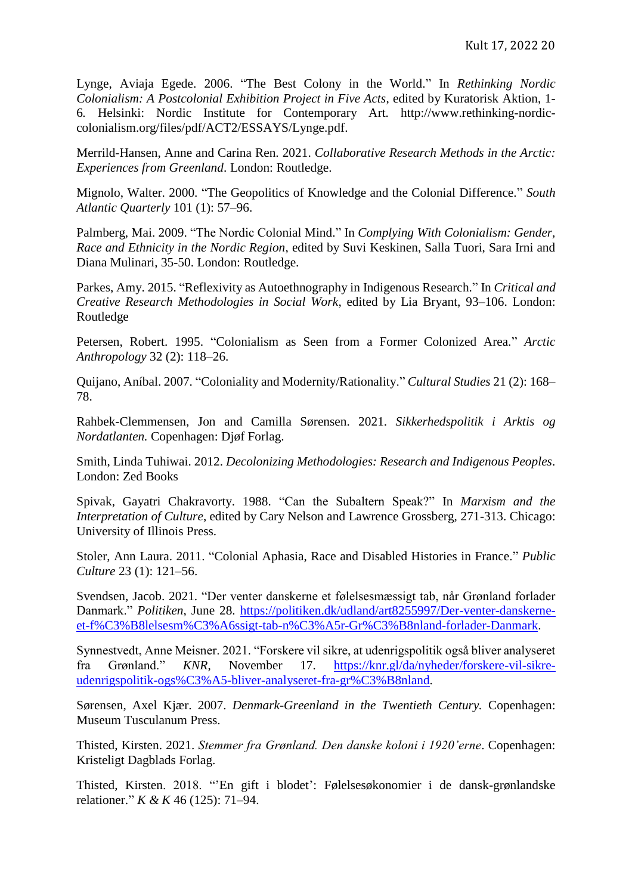Lynge, Aviaja Egede. 2006. "The Best Colony in the World." In *Rethinking Nordic Colonialism: A Postcolonial Exhibition Project in Five Acts*, edited by Kuratorisk Aktion, 1- 6*.* Helsinki: Nordic Institute for Contemporary Art*.* [http://www.rethinking-nordic](http://www.rethinking-nordic-colonialism.org/files/pdf/ACT2/ESSAYS/Lynge.pdf)[colonialism.org/files/pdf/ACT2/ESSAYS/Lynge.pdf.](http://www.rethinking-nordic-colonialism.org/files/pdf/ACT2/ESSAYS/Lynge.pdf)

Merrild-Hansen, Anne and Carina Ren. 2021. *Collaborative Research Methods in the Arctic: Experiences from Greenland*. London: Routledge.

Mignolo, Walter. 2000. "The Geopolitics of Knowledge and the Colonial Difference." *South Atlantic Quarterly* 101 (1): 57–96.

Palmberg, Mai. 2009. "The Nordic Colonial Mind." In *Complying With Colonialism: Gender, Race and Ethnicity in the Nordic Region*, edited by Suvi Keskinen, Salla Tuori, Sara Irni and Diana Mulinari, 35-50. London: Routledge.

Parkes, Amy. 2015. "Reflexivity as Autoethnography in Indigenous Research." In *Critical and Creative Research Methodologies in Social Work*, edited by Lia Bryant, 93–106. London: Routledge

Petersen, Robert. 1995. "Colonialism as Seen from a Former Colonized Area." *Arctic Anthropology* 32 (2): 118–26.

Quijano, Aníbal. 2007. "Coloniality and Modernity/Rationality." *Cultural Studies* 21 (2): 168– 78.

Rahbek-Clemmensen, Jon and Camilla Sørensen. 2021. *Sikkerhedspolitik i Arktis og Nordatlanten.* Copenhagen: Djøf Forlag.

Smith, Linda Tuhiwai. 2012. *Decolonizing Methodologies: Research and Indigenous Peoples*. London: Zed Books

Spivak, Gayatri Chakravorty. 1988. "Can the Subaltern Speak?" In *Marxism and the Interpretation of Culture*, edited by Cary Nelson and Lawrence Grossberg, 271-313. Chicago: University of Illinois Press.

Stoler, Ann Laura. 2011. "Colonial Aphasia, Race and Disabled Histories in France." *Public Culture* 23 (1): 121–56.

Svendsen, Jacob. 2021. "Der venter danskerne et følelsesmæssigt tab, når Grønland forlader Danmark." *Politiken*, June 28. [https://politiken.dk/udland/art8255997/Der-venter-danskerne](https://politiken.dk/udland/art8255997/Der-venter-danskerne-et-f%C3%B8lelsesm%C3%A6ssigt-tab-n%C3%A5r-Gr%C3%B8nland-forlader-Danmark)[et-f%C3%B8lelsesm%C3%A6ssigt-tab-n%C3%A5r-Gr%C3%B8nland-forlader-Danmark.](https://politiken.dk/udland/art8255997/Der-venter-danskerne-et-f%C3%B8lelsesm%C3%A6ssigt-tab-n%C3%A5r-Gr%C3%B8nland-forlader-Danmark)

Synnestvedt, Anne Meisner. 2021. "Forskere vil sikre, at udenrigspolitik også bliver analyseret fra Grønland." *KNR*, November 17. [https://knr.gl/da/nyheder/forskere-vil-sikre](https://knr.gl/da/nyheder/forskere-vil-sikre-udenrigspolitik-ogs%C3%A5-bliver-analyseret-fra-gr%C3%B8nland)[udenrigspolitik-ogs%C3%A5-bliver-analyseret-fra-gr%C3%B8nland.](https://knr.gl/da/nyheder/forskere-vil-sikre-udenrigspolitik-ogs%C3%A5-bliver-analyseret-fra-gr%C3%B8nland)

Sørensen, Axel Kjær. 2007. *Denmark-Greenland in the Twentieth Century.* Copenhagen: Museum Tusculanum Press.

Thisted, Kirsten. 2021. *Stemmer fra Grønland. Den danske koloni i 1920'erne*. Copenhagen: Kristeligt Dagblads Forlag.

Thisted, Kirsten. 2018. "'En gift i blodet': Følelsesøkonomier i de dansk-grønlandske relationer." *K & K* 46 (125): 71–94.